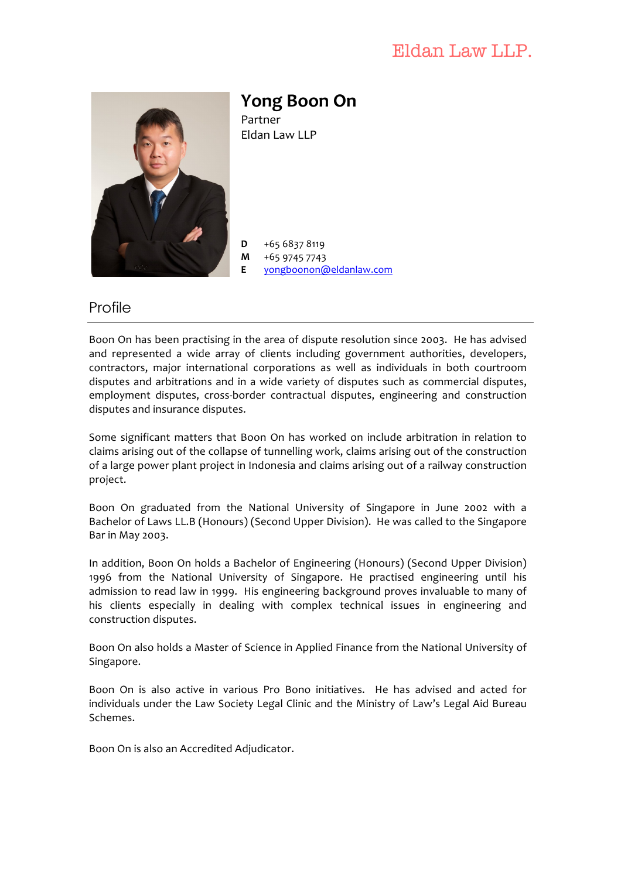## Eldan Law LLP.



**Yong Boon On** Partner Fldan Law LLP

 $D +6568378119$ **M** +65 9745 7743 **E** yongboonon@eldanlaw.com

## Profile

Boon On has been practising in the area of dispute resolution since 2003. He has advised and represented a wide array of clients including government authorities, developers, contractors, major international corporations as well as individuals in both courtroom disputes and arbitrations and in a wide variety of disputes such as commercial disputes, employment disputes, cross-border contractual disputes, engineering and construction disputes and insurance disputes.

Some significant matters that Boon On has worked on include arbitration in relation to claims arising out of the collapse of tunnelling work, claims arising out of the construction of a large power plant project in Indonesia and claims arising out of a railway construction project. 

Boon On graduated from the National University of Singapore in June 2002 with a Bachelor of Laws LL.B (Honours) (Second Upper Division). He was called to the Singapore Bar in May 2003.

In addition, Boon On holds a Bachelor of Engineering (Honours) (Second Upper Division) 1996 from the National University of Singapore. He practised engineering until his admission to read law in 1999. His engineering background proves invaluable to many of his clients especially in dealing with complex technical issues in engineering and construction disputes.

Boon On also holds a Master of Science in Applied Finance from the National University of Singapore.

Boon On is also active in various Pro Bono initiatives. He has advised and acted for individuals under the Law Society Legal Clinic and the Ministry of Law's Legal Aid Bureau Schemes.

Boon On is also an Accredited Adjudicator.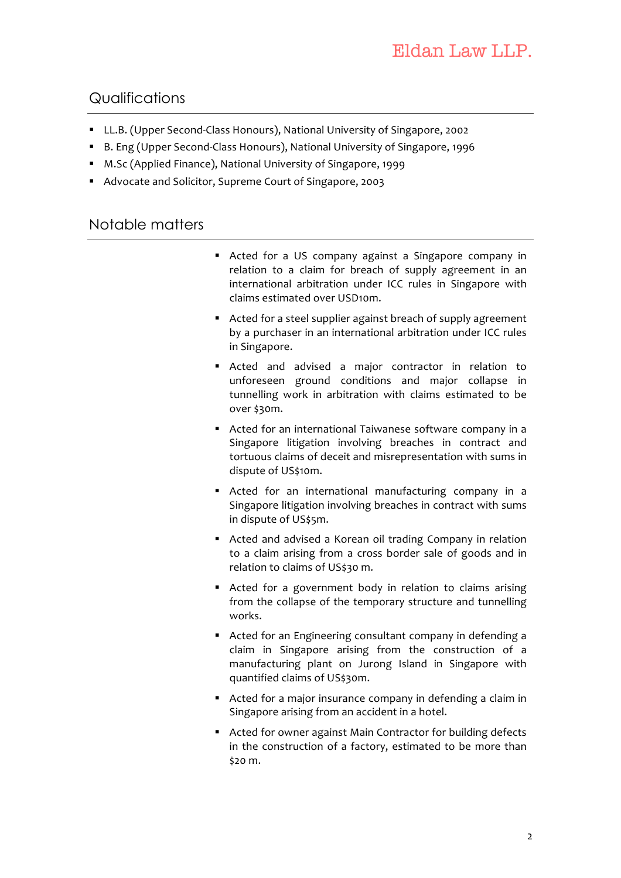## Qualifications

- LL.B. (Upper Second-Class Honours), National University of Singapore, 2002
- B. Eng (Upper Second-Class Honours), National University of Singapore, 1996
- M.Sc (Applied Finance), National University of Singapore, 1999
- Advocate and Solicitor, Supreme Court of Singapore, 2003

## Notable matters

- Acted for a US company against a Singapore company in relation to a claim for breach of supply agreement in an international arbitration under ICC rules in Singapore with claims estimated over USD10m.
- Acted for a steel supplier against breach of supply agreement by a purchaser in an international arbitration under ICC rules in Singapore.
- Acted and advised a major contractor in relation to unforeseen ground conditions and major collapse in tunnelling work in arbitration with claims estimated to be over \$30m.
- Acted for an international Taiwanese software company in a Singapore litigation involving breaches in contract and tortuous claims of deceit and misrepresentation with sums in dispute of US\$10m.
- Acted for an international manufacturing company in a Singapore litigation involving breaches in contract with sums in dispute of US\$5m.
- Acted and advised a Korean oil trading Company in relation to a claim arising from a cross border sale of goods and in relation to claims of US\$30 m.
- Acted for a government body in relation to claims arising from the collapse of the temporary structure and tunnelling works.
- Acted for an Engineering consultant company in defending a claim in Singapore arising from the construction of a manufacturing plant on Jurong Island in Singapore with quantified claims of US\$30m.
- Acted for a major insurance company in defending a claim in Singapore arising from an accident in a hotel.
- Acted for owner against Main Contractor for building defects in the construction of a factory, estimated to be more than \$20 m.